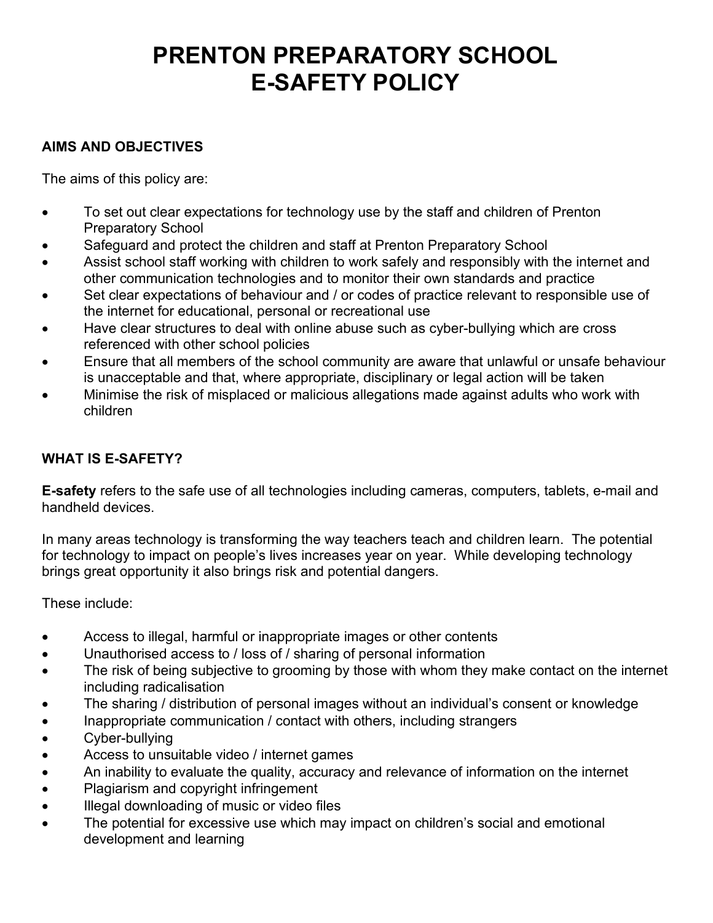# **PRENTON PREPARATORY SCHOOL E-SAFETY POLICY**

## **AIMS AND OBJECTIVES**

The aims of this policy are:

- To set out clear expectations for technology use by the staff and children of Prenton Preparatory School
- Safeguard and protect the children and staff at Prenton Preparatory School
- Assist school staff working with children to work safely and responsibly with the internet and other communication technologies and to monitor their own standards and practice
- Set clear expectations of behaviour and / or codes of practice relevant to responsible use of the internet for educational, personal or recreational use
- Have clear structures to deal with online abuse such as cyber-bullying which are cross referenced with other school policies
- Ensure that all members of the school community are aware that unlawful or unsafe behaviour is unacceptable and that, where appropriate, disciplinary or legal action will be taken
- Minimise the risk of misplaced or malicious allegations made against adults who work with children

## **WHAT IS E-SAFETY?**

**E-safety** refers to the safe use of all technologies including cameras, computers, tablets, e-mail and handheld devices.

In many areas technology is transforming the way teachers teach and children learn. The potential for technology to impact on people's lives increases year on year. While developing technology brings great opportunity it also brings risk and potential dangers.

These include:

- Access to illegal, harmful or inappropriate images or other contents
- Unauthorised access to / loss of / sharing of personal information
- The risk of being subjective to grooming by those with whom they make contact on the internet including radicalisation
- The sharing / distribution of personal images without an individual's consent or knowledge
- Inappropriate communication / contact with others, including strangers
- Cyber-bullying
- Access to unsuitable video / internet games
- An inability to evaluate the quality, accuracy and relevance of information on the internet
- Plagiarism and copyright infringement
- Illegal downloading of music or video files
- The potential for excessive use which may impact on children's social and emotional development and learning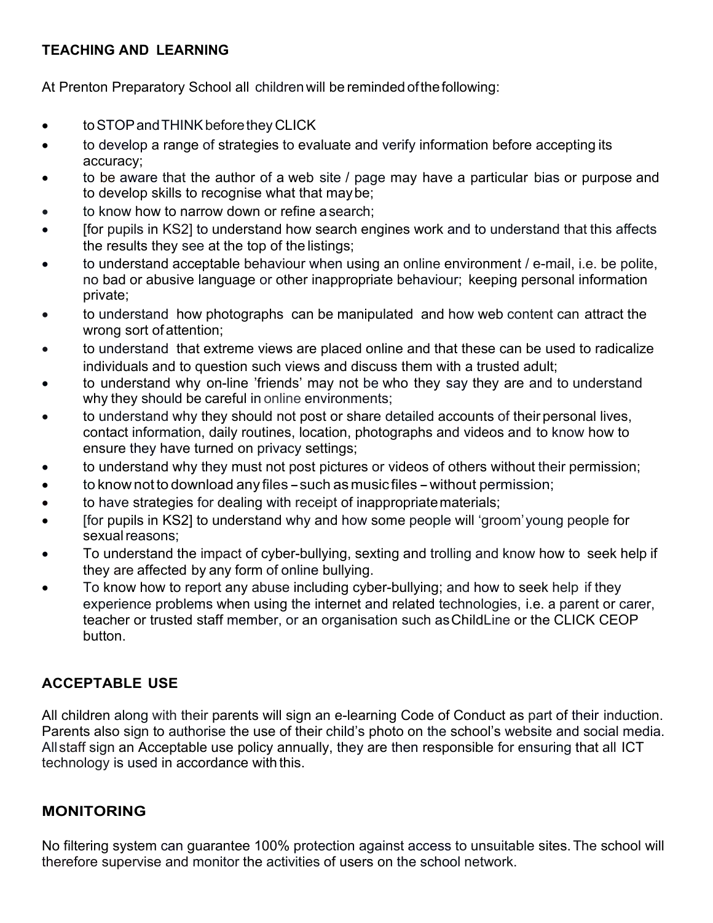## **TEACHING AND LEARNING**

At Prenton Preparatory School all childrenwill be reminded ofthefollowing:

- to STOP and THINK before they CLICK
- to develop a range of strategies to evaluate and verify information before accepting its accuracy;
- to be aware that the author of a web site / page may have a particular bias or purpose and to develop skills to recognise what that maybe;
- to know how to narrow down or refine a search;
- [for pupils in KS2] to understand how search engines work and to understand that this affects the results they see at the top of the listings;
- to understand acceptable behaviour when using an online environment / e-mail, i.e. be polite, no bad or abusive language or other inappropriate behaviour; keeping personal information private;
- to understand how photographs can be manipulated and how web content can attract the wrong sort ofattention;
- to understand that extreme views are placed online and that these can be used to radicalize individuals and to question such views and discuss them with a trusted adult;
- to understand why on-line 'friends' may not be who they say they are and to understand why they should be careful in online environments;
- to understand why they should not post or share detailed accounts of their personal lives, contact information, daily routines, location, photographs and videos and to know how to ensure they have turned on privacy settings;
- to understand why they must not post pictures or videos of others without their permission;
- to know not to download any files such as music files without permission;
- to have strategies for dealing with receipt of inappropriatematerials;
- [for pupils in KS2] to understand why and how some people will 'groom'young people for sexual reasons;
- To understand the impact of cyber-bullying, sexting and trolling and know how to seek help if they are affected by any form of online bullying.
- To know how to report any abuse including cyber-bullying; and how to seek help if they experience problems when using the internet and related technologies, i.e. a parent or carer, teacher or trusted staff member, or an organisation such asChildLine or the CLICK CEOP button.

# **ACCEPTABLE USE**

All children along with their parents will sign an e-learning Code of Conduct as part of their induction. Parents also sign to authorise the use of their child's photo on the school's website and social media. Allstaff sign an Acceptable use policy annually, they are then responsible for ensuring that all ICT technology is used in accordance with this.

#### **MONITORING**

No filtering system can guarantee 100% protection against access to unsuitable sites.The school will therefore supervise and monitor the activities of users on the school network.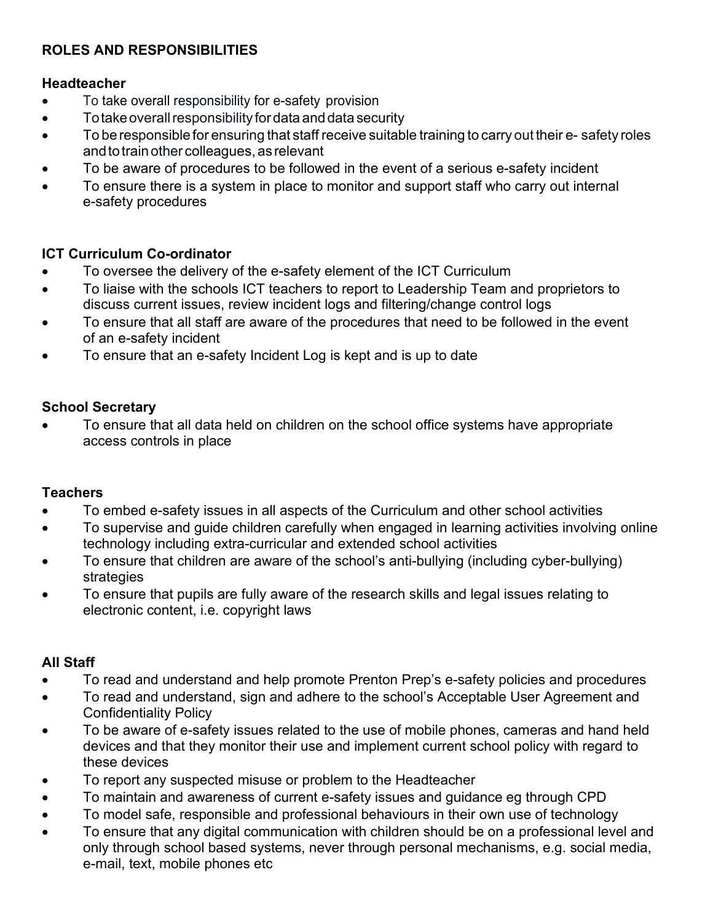# **ROLES AND RESPONSIBILITIES**

#### **Headteacher**

- To take overall responsibility for e-safety provision
- $\bullet$  To take overall responsibility for data and data security
- To beresponsible for ensuring that staff receive suitable training to carry out their e- safety roles and to train other colleagues, as relevant
- To be aware of procedures to be followed in the event of a serious e-safety incident
- To ensure there is a system in place to monitor and support staff who carry out internal e-safety procedures

#### **ICT Curriculum Co-ordinator**

- To oversee the delivery of the e-safety element of the ICT Curriculum
- To liaise with the schools ICT teachers to report to Leadership Team and proprietors to discuss current issues, review incident logs and filtering/change control logs
- To ensure that all staff are aware of the procedures that need to be followed in the event of an e-safety incident
- To ensure that an e-safety Incident Log is kept and is up to date

#### **School Secretary**

• To ensure that all data held on children on the school office systems have appropriate access controls in place

#### **Teachers**

- To embed e-safety issues in all aspects of the Curriculum and other school activities
- To supervise and guide children carefully when engaged in learning activities involving online technology including extra-curricular and extended school activities
- To ensure that children are aware of the school's anti-bullying (including cyber-bullying) strategies
- To ensure that pupils are fully aware of the research skills and legal issues relating to electronic content, i.e. copyright laws

# **All Staff**

- To read and understand and help promote Prenton Prep's e-safety policies and procedures
- To read and understand, sign and adhere to the school's Acceptable User Agreement and Confidentiality Policy
- To be aware of e-safety issues related to the use of mobile phones, cameras and hand held devices and that they monitor their use and implement current school policy with regard to these devices
- To report any suspected misuse or problem to the Headteacher
- To maintain and awareness of current e-safety issues and guidance eg through CPD
- To model safe, responsible and professional behaviours in their own use of technology
- To ensure that any digital communication with children should be on a professional level and only through school based systems, never through personal mechanisms, e.g. social media, e-mail, text, mobile phones etc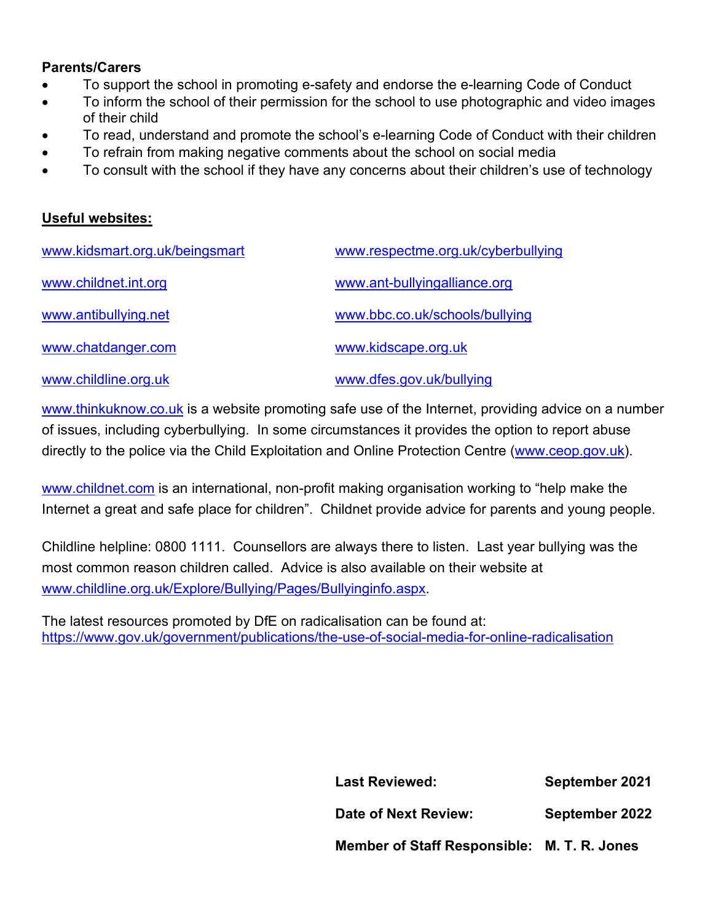#### **Parents/Carers**

- To support the school in promoting e-safety and endorse the e-learning Code of Conduct
- To inform the school of their permission for the school to use photographic and video images of their child
- To read, understand and promote the school's e-learning Code of Conduct with their children
- To refrain from making negative comments about the school on social media
- To consult with the school if they have any concerns about their children's use of technology

#### **Useful websites:**

| www.kidsmart.org.uk/beingsmart | www.respectme.org.uk/cyberbullying |
|--------------------------------|------------------------------------|
| www.childnet.int.org           | www.ant-bullyingalliance.org       |
| www.antibullying.net           | www.bbc.co.uk/schools/bullying     |
| www.chatdanger.com             | www.kidscape.org.uk                |
| www.childline.org.uk           | www.dfes.gov.uk/bullying           |

[www.thinkuknow.co.uk](http://www.thinkuknow.co.uk/) is a website promoting safe use of the Internet, providing advice on a number of issues, including cyberbullying. In some circumstances it provides the option to report abuse directly to the police via the Child Exploitation and Online Protection Centre [\(www.ceop.gov.uk\)](http://www.ceop.gov.uk/).

[www.childnet.com](http://www.childnet.com/) is an international, non-profit making organisation working to "help make the Internet a great and safe place for children". Childnet provide advice for parents and young people.

Childline helpline: 0800 1111. Counsellors are always there to listen. Last year bullying was the most common reason children called. Advice is also available on their website at [www.childline.org.uk/Explore/Bullying/Pages/Bullyinginfo.aspx.](http://www.childline.org.uk/Explore/Bullying/Pages/Bullyinginfo.aspx)

The latest resources promoted by DfE on radicalisation can be found at: <https://www.gov.uk/government/publications/the-use-of-social-media-for-online-radicalisation>

| <b>Last Reviewed:</b>                       | September 2021 |
|---------------------------------------------|----------------|
| <b>Date of Next Review:</b>                 | September 2022 |
| Member of Staff Responsible: M. T. R. Jones |                |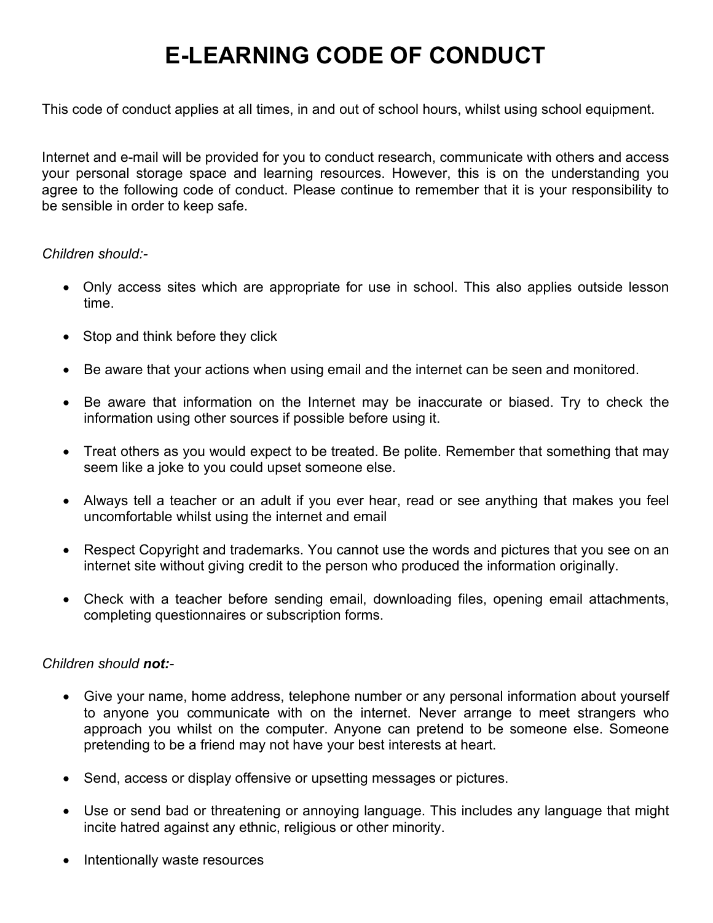# **E-LEARNING CODE OF CONDUCT**

This code of conduct applies at all times, in and out of school hours, whilst using school equipment.

Internet and e-mail will be provided for you to conduct research, communicate with others and access your personal storage space and learning resources. However, this is on the understanding you agree to the following code of conduct. Please continue to remember that it is your responsibility to be sensible in order to keep safe.

#### *Children should:-*

- Only access sites which are appropriate for use in school. This also applies outside lesson time.
- Stop and think before they click
- Be aware that your actions when using email and the internet can be seen and monitored.
- Be aware that information on the Internet may be inaccurate or biased. Try to check the information using other sources if possible before using it.
- Treat others as you would expect to be treated. Be polite. Remember that something that may seem like a joke to you could upset someone else.
- Always tell a teacher or an adult if you ever hear, read or see anything that makes you feel uncomfortable whilst using the internet and email
- Respect Copyright and trademarks. You cannot use the words and pictures that you see on an internet site without giving credit to the person who produced the information originally.
- Check with a teacher before sending email, downloading files, opening email attachments, completing questionnaires or subscription forms.

#### *Children should not:-*

- Give your name, home address, telephone number or any personal information about yourself to anyone you communicate with on the internet. Never arrange to meet strangers who approach you whilst on the computer. Anyone can pretend to be someone else. Someone pretending to be a friend may not have your best interests at heart.
- Send, access or display offensive or upsetting messages or pictures.
- Use or send bad or threatening or annoying language. This includes any language that might incite hatred against any ethnic, religious or other minority.
- Intentionally waste resources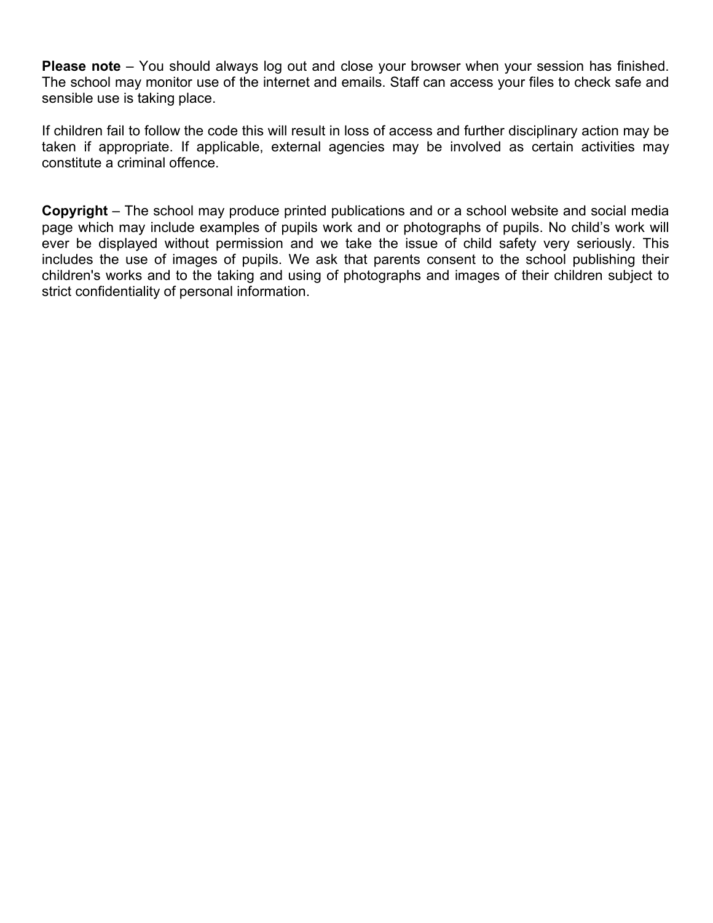**Please note** – You should always log out and close your browser when your session has finished. The school may monitor use of the internet and emails. Staff can access your files to check safe and sensible use is taking place.

If children fail to follow the code this will result in loss of access and further disciplinary action may be taken if appropriate. If applicable, external agencies may be involved as certain activities may constitute a criminal offence.

**Copyright** – The school may produce printed publications and or a school website and social media page which may include examples of pupils work and or photographs of pupils. No child's work will ever be displayed without permission and we take the issue of child safety very seriously. This includes the use of images of pupils. We ask that parents consent to the school publishing their children's works and to the taking and using of photographs and images of their children subject to strict confidentiality of personal information.